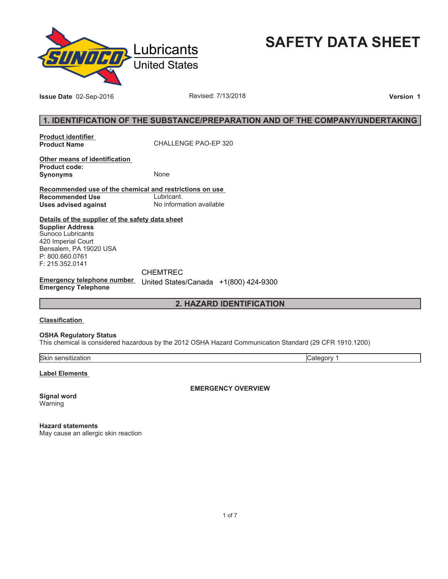

**SAFETY DATA SHEET**

**Issue Date** 02-Sep-2016 **Revised: 7/13/2018 Version 1** 

# **1. IDENTIFICATION OF THE SUBSTANCE/PREPARATION AND OF THE COMPANY/UNDERTAKING**

**Product identifier** 

**Product Name** CHALLENGE PAO-EP 320

**Other means of identification Product code: Synonyms** None

**Recommended use of the chemical and restrictions on use Recommended Use<br>Uses advised against Uses advised against** No information available

**Details of the supplier of the safety data sheet Supplier Address** Sunoco Lubricants 420 Imperial Court Bensalem, PA 19020 USA P: 800.660.0761 F: 215.352.0141

**Emergency telephone number**  United States/Canada +1(800) 424-9300**Emergency Telephone** CHEMTREC

**2. HAZARD IDENTIFICATION**

### **Classification**

**OSHA Regulatory Status**

This chemical is considered hazardous by the 2012 OSHA Hazard Communication Standard (29 CFR 1910.1200)

Skin sensitization Category 1

**Label Elements** 

**EMERGENCY OVERVIEW**

**Signal word** Warning

**Hazard statements** May cause an allergic skin reaction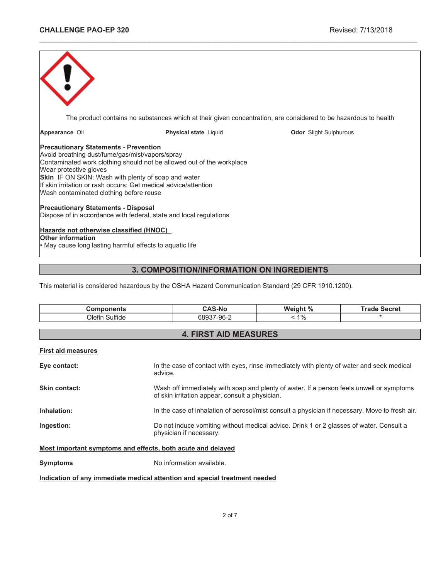|                                                                                                                                                                                                                                    |                                                                                                                                          | The product contains no substances which at their given concentration, are considered to be hazardous to health |
|------------------------------------------------------------------------------------------------------------------------------------------------------------------------------------------------------------------------------------|------------------------------------------------------------------------------------------------------------------------------------------|-----------------------------------------------------------------------------------------------------------------|
| Appearance Oil                                                                                                                                                                                                                     | <b>Physical state Liquid</b>                                                                                                             | <b>Odor</b> Slight Sulphurous                                                                                   |
| <b>Precautionary Statements - Prevention</b><br>Avoid breathing dust/fume/gas/mist/vapors/spray<br>Wear protective gloves<br><b>Skin</b> IF ON SKIN: Wash with plenty of soap and water<br>Wash contaminated clothing before reuse | Contaminated work clothing should not be allowed out of the workplace<br>If skin irritation or rash occurs: Get medical advice/attention |                                                                                                                 |
| <b>Precautionary Statements - Disposal</b>                                                                                                                                                                                         | Dispose of in accordance with federal, state and local regulations                                                                       |                                                                                                                 |
| Hazards not otherwise classified (HNOC)<br>Other information<br>May cause long lasting harmful effects to aquatic life                                                                                                             |                                                                                                                                          |                                                                                                                 |

\_\_\_\_\_\_\_\_\_\_\_\_\_\_\_\_\_\_\_\_\_\_\_\_\_\_\_\_\_\_\_\_\_\_\_\_\_\_\_\_\_\_\_\_\_\_\_\_\_\_\_\_\_\_\_\_\_\_\_\_\_\_\_\_\_\_\_\_\_\_\_\_\_\_\_\_\_\_\_\_\_\_\_\_\_\_\_\_\_\_\_\_\_

# **3. COMPOSITION/INFORMATION ON INGREDIENTS**

This material is considered hazardous by the OSHA Hazard Communication Standard (29 CFR 1910.1200).

| <b>Components</b>            | <b>CAS-No</b> | Weight % | <b>Trade Secret</b> |  |  |  |
|------------------------------|---------------|----------|---------------------|--|--|--|
| Olefin Sulfide               | 68937-96-2    | $1\%$    |                     |  |  |  |
|                              |               |          |                     |  |  |  |
| <b>4. FIRST AID MEASURES</b> |               |          |                     |  |  |  |

# **First aid measures**

| Eye contact:                                                | In the case of contact with eyes, rinse immediately with plenty of water and seek medical<br>advice.                                        |  |
|-------------------------------------------------------------|---------------------------------------------------------------------------------------------------------------------------------------------|--|
| Skin contact:                                               | Wash off immediately with soap and plenty of water. If a person feels unwell or symptoms<br>of skin irritation appear, consult a physician. |  |
| Inhalation:                                                 | In the case of inhalation of aerosol/mist consult a physician if necessary. Move to fresh air.                                              |  |
| Ingestion:                                                  | Do not induce vomiting without medical advice. Drink 1 or 2 glasses of water. Consult a<br>physician if necessary.                          |  |
| Most important symptoms and effects, both acute and delayed |                                                                                                                                             |  |
| <b>Symptoms</b>                                             | No information available.                                                                                                                   |  |

**Indication of any immediate medical attention and special treatment needed**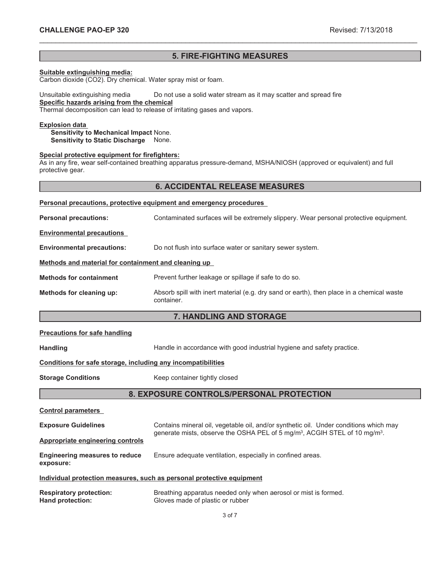# **5. FIRE-FIGHTING MEASURES**

\_\_\_\_\_\_\_\_\_\_\_\_\_\_\_\_\_\_\_\_\_\_\_\_\_\_\_\_\_\_\_\_\_\_\_\_\_\_\_\_\_\_\_\_\_\_\_\_\_\_\_\_\_\_\_\_\_\_\_\_\_\_\_\_\_\_\_\_\_\_\_\_\_\_\_\_\_\_\_\_\_\_\_\_\_\_\_\_\_\_\_\_\_

# **Suitable extinguishing media:**

Carbon dioxide (CO2). Dry chemical. Water spray mist or foam.

#### Unsuitable extinguishing media Do not use a solid water stream as it may scatter and spread fire **Specific hazards arising from the chemical** Thermal decomposition can lead to release of irritating gases and vapors.

**Explosion data** 

**Sensitivity to Mechanical Impact** None. **Sensitivity to Static Discharge** None.

#### **Special protective equipment for firefighters:**

As in any fire, wear self-contained breathing apparatus pressure-demand, MSHA/NIOSH (approved or equivalent) and full protective gear.

# **6. ACCIDENTAL RELEASE MEASURES**

| Personal precautions, protective equipment and emergency procedures |                                                                                                         |  |  |
|---------------------------------------------------------------------|---------------------------------------------------------------------------------------------------------|--|--|
| <b>Personal precautions:</b>                                        | Contaminated surfaces will be extremely slippery. Wear personal protective equipment.                   |  |  |
| <b>Environmental precautions</b>                                    |                                                                                                         |  |  |
| <b>Environmental precautions:</b>                                   | Do not flush into surface water or sanitary sewer system.                                               |  |  |
| Methods and material for containment and cleaning up                |                                                                                                         |  |  |
| <b>Methods for containment</b>                                      | Prevent further leakage or spillage if safe to do so.                                                   |  |  |
| Methods for cleaning up:                                            | Absorb spill with inert material (e.g. dry sand or earth), then place in a chemical waste<br>container. |  |  |

# **7. HANDLING AND STORAGE**

#### **Precautions for safe handling**

Handling **Handle in accordance with good industrial hygiene and safety practice.** 

#### **Conditions for safe storage, including any incompatibilities**

**Storage Conditions** Keep container tightly closed

# **8. EXPOSURE CONTROLS/PERSONAL PROTECTION**

| <b>Control parameters</b>                          |                                                                                                                                                                                             |
|----------------------------------------------------|---------------------------------------------------------------------------------------------------------------------------------------------------------------------------------------------|
| <b>Exposure Guidelines</b>                         | Contains mineral oil, vegetable oil, and/or synthetic oil. Under conditions which may<br>generate mists, observe the OSHA PEL of 5 mg/m <sup>3</sup> , ACGIH STEL of 10 mg/m <sup>3</sup> . |
| Appropriate engineering controls                   |                                                                                                                                                                                             |
| <b>Engineering measures to reduce</b><br>exposure: | Ensure adequate ventilation, especially in confined areas.                                                                                                                                  |
|                                                    | Individual protection measures, such as personal protective equipment                                                                                                                       |
| <b>Respiratory protection:</b><br>Hand protection: | Breathing apparatus needed only when aerosol or mist is formed.<br>Gloves made of plastic or rubber                                                                                         |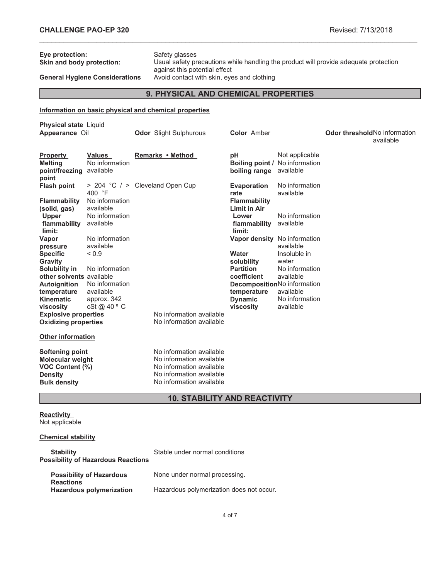| Eye protection:<br>Skin and body protection:<br><b>General Hygiene Considerations</b>                                                                                                                                                                                                                                               |                                                                                                                                                                            | Safety glasses<br>Usual safety precautions while handling the product will provide adequate protection<br>against this potential effect<br>Avoid contact with skin, eyes and clothing |                                                                                                                                          |                                                                                                                                                                                                                       |                                                                                                                                                                             |                                      |           |  |
|-------------------------------------------------------------------------------------------------------------------------------------------------------------------------------------------------------------------------------------------------------------------------------------------------------------------------------------|----------------------------------------------------------------------------------------------------------------------------------------------------------------------------|---------------------------------------------------------------------------------------------------------------------------------------------------------------------------------------|------------------------------------------------------------------------------------------------------------------------------------------|-----------------------------------------------------------------------------------------------------------------------------------------------------------------------------------------------------------------------|-----------------------------------------------------------------------------------------------------------------------------------------------------------------------------|--------------------------------------|-----------|--|
| 9. PHYSICAL AND CHEMICAL PROPERTIES                                                                                                                                                                                                                                                                                                 |                                                                                                                                                                            |                                                                                                                                                                                       |                                                                                                                                          |                                                                                                                                                                                                                       |                                                                                                                                                                             |                                      |           |  |
|                                                                                                                                                                                                                                                                                                                                     | Information on basic physical and chemical properties                                                                                                                      |                                                                                                                                                                                       |                                                                                                                                          |                                                                                                                                                                                                                       |                                                                                                                                                                             |                                      |           |  |
| <b>Physical state Liquid</b><br>Appearance Oil                                                                                                                                                                                                                                                                                      |                                                                                                                                                                            |                                                                                                                                                                                       | <b>Odor</b> Slight Sulphurous                                                                                                            | <b>Color</b> Amber                                                                                                                                                                                                    |                                                                                                                                                                             | <b>Odor threshold No information</b> | available |  |
| <b>Property</b><br><b>Melting</b><br>point/freezing available<br>point                                                                                                                                                                                                                                                              | Values<br>No information                                                                                                                                                   |                                                                                                                                                                                       | Remarks • Method                                                                                                                         | рH<br><b>Boiling point / No information</b><br>boiling range available                                                                                                                                                | Not applicable                                                                                                                                                              |                                      |           |  |
| <b>Flash point</b>                                                                                                                                                                                                                                                                                                                  | > 204 °C / > Cleveland Open Cup<br>400 °F                                                                                                                                  |                                                                                                                                                                                       |                                                                                                                                          | <b>Evaporation</b><br>rate                                                                                                                                                                                            | No information<br>available                                                                                                                                                 |                                      |           |  |
| <b>Flammability</b><br>(solid, gas)<br>Upper<br>flammability available<br>limit:<br>Vapor<br>pressure<br><b>Specific</b><br>Gravity<br>Solubility in<br>other solvents available<br>Autoignition<br>temperature<br>Kinematic<br>viscosity<br><b>Explosive properties</b><br><b>Oxidizing properties</b><br><b>Other information</b> | No information<br>available<br>No information<br>No information<br>available<br>${}_{0.9}$<br>No information<br>No information<br>available<br>approx. 342<br>cSt @ 40 ° C |                                                                                                                                                                                       | No information available<br>No information available                                                                                     | <b>Flammability</b><br><b>Limit in Air</b><br>Lower<br>flammability<br>limit:<br>Vapor density No information<br>Water<br>solubility<br><b>Partition</b><br>coefficient<br>temperature<br><b>Dynamic</b><br>viscosity | No information<br>available<br>available<br>Insoluble in<br>water<br>No information<br>available<br>DecompositionNo information<br>available<br>No information<br>available |                                      |           |  |
| Softening point<br><b>Molecular weight</b><br>VOC Content (%)<br><b>Density</b><br><b>Bulk density</b>                                                                                                                                                                                                                              |                                                                                                                                                                            |                                                                                                                                                                                       | No information available<br>No information available<br>No information available<br>No information available<br>No information available |                                                                                                                                                                                                                       |                                                                                                                                                                             |                                      |           |  |
| <b>10. STABILITY AND REACTIVITY</b>                                                                                                                                                                                                                                                                                                 |                                                                                                                                                                            |                                                                                                                                                                                       |                                                                                                                                          |                                                                                                                                                                                                                       |                                                                                                                                                                             |                                      |           |  |

\_\_\_\_\_\_\_\_\_\_\_\_\_\_\_\_\_\_\_\_\_\_\_\_\_\_\_\_\_\_\_\_\_\_\_\_\_\_\_\_\_\_\_\_\_\_\_\_\_\_\_\_\_\_\_\_\_\_\_\_\_\_\_\_\_\_\_\_\_\_\_\_\_\_\_\_\_\_\_\_\_\_\_\_\_\_\_\_\_\_\_\_\_

#### **Reactivity** Not applicable

# **Chemical stability**

| <b>Stability</b><br><b>Possibility of Hazardous Reactions</b> | Stable under normal conditions           |
|---------------------------------------------------------------|------------------------------------------|
| <b>Possibility of Hazardous</b><br><b>Reactions</b>           | None under normal processing.            |
| <b>Hazardous polymerization</b>                               | Hazardous polymerization does not occur. |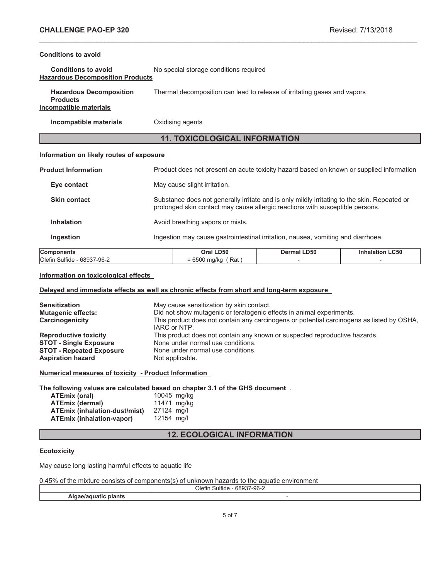## **Conditions to avoid**

| <b>Conditions to avoid</b>              | No special storage conditions required |
|-----------------------------------------|----------------------------------------|
| <b>Hazardous Decomposition Products</b> |                                        |

| <b>Hazardous Decomposition</b> | Thermal decomposition can lead to release of irritating gases and vapors |
|--------------------------------|--------------------------------------------------------------------------|
| <b>Products</b>                |                                                                          |
| Incompatible materials         |                                                                          |

**Incompatible materials** Oxidising agents

# **11. TOXICOLOGICAL INFORMATION**

\_\_\_\_\_\_\_\_\_\_\_\_\_\_\_\_\_\_\_\_\_\_\_\_\_\_\_\_\_\_\_\_\_\_\_\_\_\_\_\_\_\_\_\_\_\_\_\_\_\_\_\_\_\_\_\_\_\_\_\_\_\_\_\_\_\_\_\_\_\_\_\_\_\_\_\_\_\_\_\_\_\_\_\_\_\_\_\_\_\_\_\_\_

## **Information on likely routes of exposure**

| <b>Components</b>          | Oral LD50                        | Dermal LD50                                                                                                                                                                   | <b>Inhalation LC50</b> |  |  |
|----------------------------|----------------------------------|-------------------------------------------------------------------------------------------------------------------------------------------------------------------------------|------------------------|--|--|
| <b>Ingestion</b>           |                                  | Ingestion may cause gastrointestinal irritation, nausea, vomiting and diarrhoea.                                                                                              |                        |  |  |
| <b>Inhalation</b>          | Avoid breathing vapors or mists. |                                                                                                                                                                               |                        |  |  |
| <b>Skin contact</b>        |                                  | Substance does not generally irritate and is only mildly irritating to the skin. Repeated or<br>prolonged skin contact may cause allergic reactions with susceptible persons. |                        |  |  |
| Eye contact                | May cause slight irritation.     |                                                                                                                                                                               |                        |  |  |
| <b>Product Information</b> |                                  | Product does not present an acute toxicity hazard based on known or supplied information                                                                                      |                        |  |  |

# **Components Oral LD50 Dermal LD50 Inhalation LC50**  $\overline{O}$ lefin Sulfide - 68937-96-2  $= 6500 \text{ mg/kg}$  (Rat ) -  $-$

# **Information on toxicological effects**

# **Delayed and immediate effects as well as chronic effects from short and long-term exposure**

| <b>Sensitization</b><br><b>Mutagenic effects:</b><br>Carcinogenicity | May cause sensitization by skin contact.<br>Did not show mutagenic or teratogenic effects in animal experiments.<br>This product does not contain any carcinogens or potential carcinogens as listed by OSHA,<br>IARC or NTP. |
|----------------------------------------------------------------------|-------------------------------------------------------------------------------------------------------------------------------------------------------------------------------------------------------------------------------|
| <b>Reproductive toxicity</b>                                         | This product does not contain any known or suspected reproductive hazards.                                                                                                                                                    |
| <b>STOT - Single Exposure</b>                                        | None under normal use conditions.                                                                                                                                                                                             |
| <b>STOT - Repeated Exposure</b>                                      | None under normal use conditions.                                                                                                                                                                                             |
| <b>Aspiration hazard</b>                                             | Not applicable.                                                                                                                                                                                                               |

**Numerical measures of toxicity - Product Information**

**The following values are calculated based on chapter 3.1 of the GHS document** .

| ATEmix (oral)                        | 10045 mg/kg |  |
|--------------------------------------|-------------|--|
| <b>ATEmix (dermal)</b>               | 11471 mg/kg |  |
| <b>ATEmix (inhalation-dust/mist)</b> | 27124 ma/l  |  |
| ATEmix (inhalation-vapor)            | 12154 ma/l  |  |

# **12. ECOLOGICAL INFORMATION**

## **Ecotoxicity**

May cause long lasting harmful effects to aquatic life

| 0.45% of the mixture consists of components(s) of unknown hazards to the aquatic environment |  |  |
|----------------------------------------------------------------------------------------------|--|--|
|----------------------------------------------------------------------------------------------|--|--|

| _<br>-----<br>$\sim$<br>Olefi<br>uma<br>י הר<br>-90- |  |
|------------------------------------------------------|--|
|                                                      |  |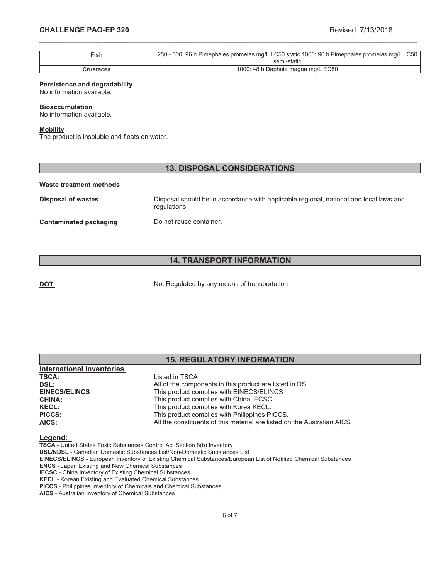| $\mathsf{Fish}$ | 250 - 500: 96 h Pimephales promelas mg/L LC50 static 1000: 96 h Pimephales promelas mg/L LC50 |
|-----------------|-----------------------------------------------------------------------------------------------|
|                 | semi-static                                                                                   |
| Crustacea       | 1000: 48 h Daphnia magna mg/L EC50                                                            |

\_\_\_\_\_\_\_\_\_\_\_\_\_\_\_\_\_\_\_\_\_\_\_\_\_\_\_\_\_\_\_\_\_\_\_\_\_\_\_\_\_\_\_\_\_\_\_\_\_\_\_\_\_\_\_\_\_\_\_\_\_\_\_\_\_\_\_\_\_\_\_\_\_\_\_\_\_\_\_\_\_\_\_\_\_\_\_\_\_\_\_\_\_

#### **Persistence and degradability**

No information available.

#### **Bioaccumulation**

No information available.

#### **Mobility**

The product is insoluble and floats on water.

# **13. DISPOSAL CONSIDERATIONS**

#### **Waste treatment methods**

**Disposal of wastes** Disposal should be in accordance with applicable regional, national and local laws and regulations. **Contaminated packaging Do not reuse container.** 

# **14. TRANSPORT INFORMATION**

**DOT** Not Regulated by any means of transportation

|                                  | <b>15. REGULATORY INFORMATION</b>                       |  |  |
|----------------------------------|---------------------------------------------------------|--|--|
| <b>International Inventories</b> |                                                         |  |  |
| <b>TSCA:</b>                     | Listed in TSCA                                          |  |  |
| DSL:                             | All of the components in this product are listed in DSL |  |  |
| <b>EINECS/ELINCS</b>             | This product complies with EINECS/ELINCS                |  |  |
| <b>CHINA:</b>                    | This product complies with China IECSC.                 |  |  |
| <b>KECL:</b>                     | This product complies with Korea KECL.                  |  |  |

#### **Legend:**

**TSCA** - United States Toxic Substances Control Act Section 8(b) Inventory

**DSL/NDSL** - Canadian Domestic Substances List/Non-Domestic Substances List

**PICCS:** This product complies with Philippines PICCS.

**EINECS/ELINCS** - European Inventory of Existing Chemical Substances/European List of Notified Chemical Substances

**AICS:** All the constituents of this material are listed on the Australian AICS

**ENCS** - Japan Existing and New Chemical Substances

**IECSC** - China Inventory of Existing Chemical Substances **KECL** - Korean Existing and Evaluated Chemical Substances

**PICCS** - Philippines Inventory of Chemicals and Chemical Substances

**AICS** - Australian Inventory of Chemical Substances